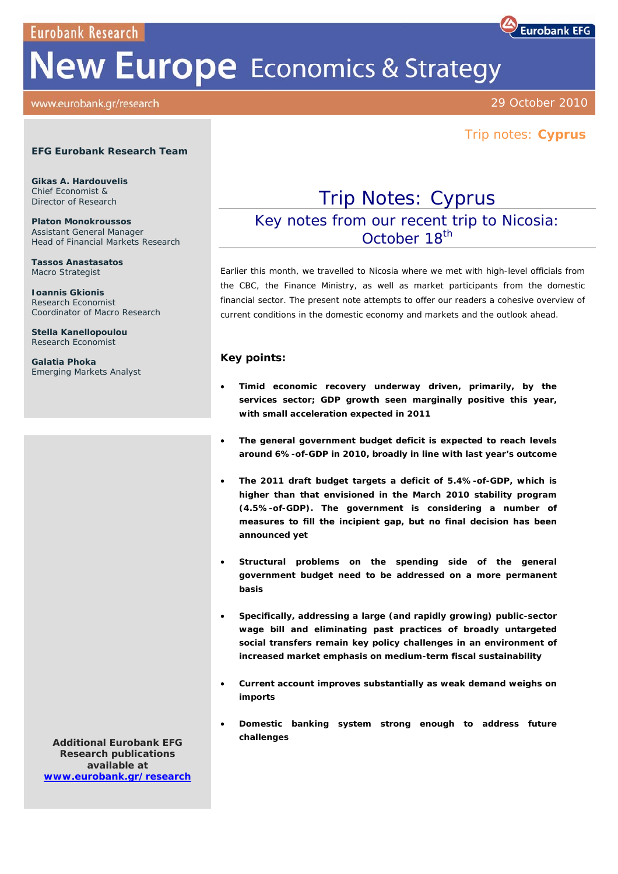**Eurobank Research** 

# **New Europe** Economics & Strategy

#### www.eurobank.gr/research

29 October 2010

**Eurobank EFG** 

# Trip notes: **Cyprus**

#### **EFG Eurobank Research Team**

**Gikas A. Hardouvelis**  Chief Economist & Director of Research

**Platon Monokroussos**  Assistant General Manager Head of Financial Markets Research

**Tassos Anastasatos**  Macro Strategist

**Ioannis Gkionis**  Research Economist Coordinator of Macro Research

**Stella Kanellopoulou**  Research Economist

**Galatia Phoka**  Emerging Markets Analyst

# Trip Notes: Cyprus

Key notes from our recent trip to Nicosia: October 18<sup>th</sup>

*Earlier this month, we travelled to Nicosia where we met with high-level officials from the CBC, the Finance Ministry, as well as market participants from the domestic financial sector. The present note attempts to offer our readers a cohesive overview of current conditions in the domestic economy and markets and the outlook ahead.* 

#### **Key points:**

- **Timid economic recovery underway driven, primarily, by the services sector; GDP growth seen marginally positive this year, with small acceleration expected in 2011**
- **The general government budget deficit is expected to reach levels around 6%-of-GDP in 2010, broadly in line with last year's outcome**
- **The 2011 draft budget targets a deficit of 5.4%-of-GDP, which is higher than that envisioned in the March 2010 stability program (4.5%-of-GDP). The government is considering a number of measures to fill the incipient gap, but no final decision has been announced yet**
- **Structural problems on the spending side of the general government budget need to be addressed on a more permanent basis**
- **Specifically, addressing a large (and rapidly growing) public-sector wage bill and eliminating past practices of broadly untargeted social transfers remain key policy challenges in an environment of increased market emphasis on medium-term fiscal sustainability**
- **Current account improves substantially as weak demand weighs on imports**
- **Domestic banking system strong enough to address future challenges**

**Additional Eurobank EFG Research publications available at www.eurobank.gr/research**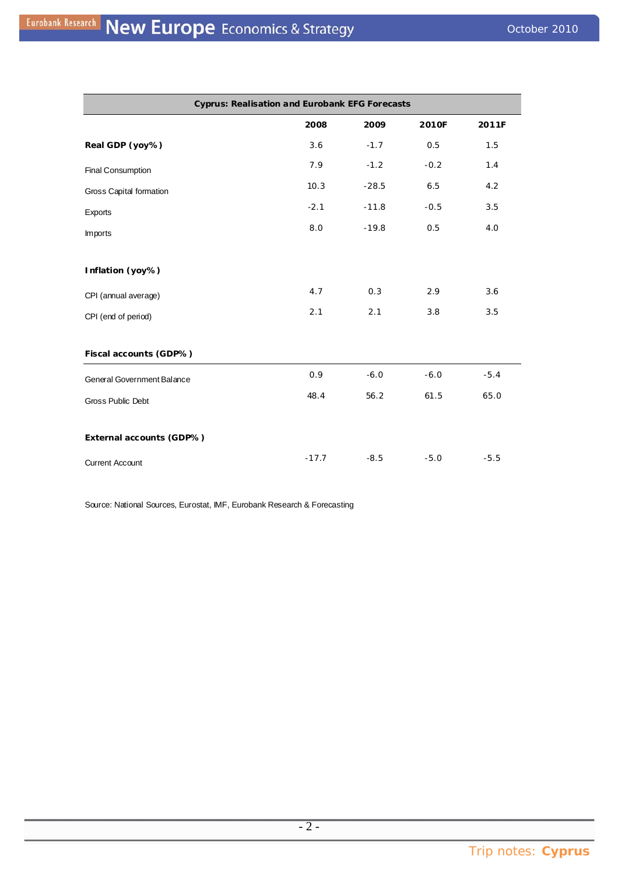| <b>Cyprus: Realisation and Eurobank EFG Forecasts</b> |         |         |        |        |
|-------------------------------------------------------|---------|---------|--------|--------|
|                                                       | 2008    | 2009    | 2010F  | 2011F  |
| Real GDP (yoy%)                                       | 3.6     | $-1.7$  | 0.5    | 1.5    |
| Final Consumption                                     | 7.9     | $-1.2$  | $-0.2$ | 1.4    |
| Gross Capital formation                               | 10.3    | $-28.5$ | 6.5    | 4.2    |
| Exports                                               | $-2.1$  | $-11.8$ | $-0.5$ | 3.5    |
| Imports                                               | 8.0     | $-19.8$ | 0.5    | 4.0    |
| Inflation (yoy%)                                      |         |         |        |        |
| CPI (annual average)                                  | 4.7     | 0.3     | 2.9    | 3.6    |
| CPI (end of period)                                   | 2.1     | 2.1     | 3.8    | 3.5    |
| Fiscal accounts (GDP%)                                |         |         |        |        |
| General Government Balance                            | 0.9     | $-6.0$  | $-6.0$ | $-5.4$ |
| Gross Public Debt                                     | 48.4    | 56.2    | 61.5   | 65.0   |
| External accounts (GDP%)                              |         |         |        |        |
| <b>Current Account</b>                                | $-17.7$ | $-8.5$  | $-5.0$ | $-5.5$ |

Source: National Sources, Eurostat, IMF, Eurobank Research & Forecasting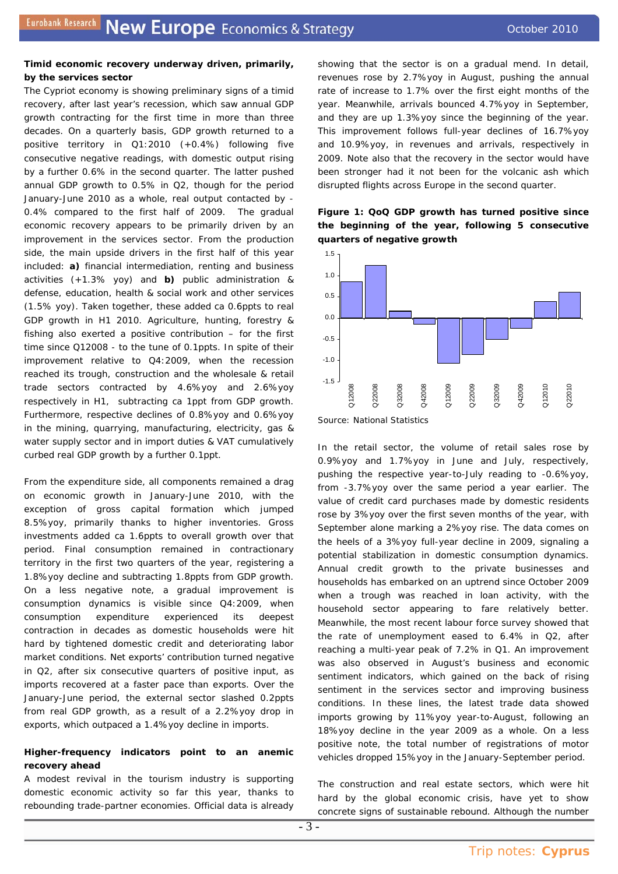#### **Timid economic recovery underway driven, primarily, by the services sector**

The Cypriot economy is showing preliminary signs of a timid recovery, after last year's recession, which saw annual GDP growth contracting for the first time in more than three decades. On a quarterly basis, GDP growth returned to a positive territory in Q1:2010 (+0.4%) following five consecutive negative readings, with domestic output rising by a further 0.6% in the second quarter. The latter pushed annual GDP growth to 0.5% in Q2, though for the period January-June 2010 as a whole, real output contacted by - 0.4% compared to the first half of 2009. The gradual economic recovery appears to be primarily driven by an improvement in the services sector. From the production side, the main upside drivers in the first half of this year included: **a)** financial intermediation, renting and business activities (+1.3% yoy) and **b)** public administration & defense, education, health & social work and other services (1.5% yoy). Taken together, these added ca 0.6ppts to real GDP growth in H1 2010. Agriculture, hunting, forestry & fishing also exerted a positive contribution – for the first time since Q12008 - to the tune of 0.1ppts. In spite of their improvement relative to Q4:2009, when the recession reached its trough, construction and the wholesale & retail trade sectors contracted by 4.6%yoy and 2.6%yoy respectively in H1, subtracting ca 1ppt from GDP growth. Furthermore, respective declines of 0.8%yoy and 0.6%yoy in the mining, quarrying, manufacturing, electricity, gas & water supply sector and in import duties & VAT cumulatively curbed real GDP growth by a further 0.1ppt.

From the expenditure side, all components remained a drag on economic growth in January-June 2010, with the exception of gross capital formation which jumped 8.5%yoy, primarily thanks to higher inventories. Gross investments added ca 1.6ppts to overall growth over that period. Final consumption remained in contractionary territory in the first two quarters of the year, registering a 1.8%yoy decline and subtracting 1.8ppts from GDP growth. On a less negative note, a gradual improvement is consumption dynamics is visible since Q4:2009, when consumption expenditure experienced its deepest contraction in decades as domestic households were hit hard by tightened domestic credit and deteriorating labor market conditions. Net exports' contribution turned negative in Q2, after six consecutive quarters of positive input, as imports recovered at a faster pace than exports. Over the January-June period, the external sector slashed 0.2ppts from real GDP growth, as a result of a 2.2%yoy drop in exports, which outpaced a 1.4%yoy decline in imports.

# **Higher-frequency indicators point to an anemic recovery ahead**

A modest revival in the tourism industry is supporting domestic economic activity so far this year, thanks to rebounding trade-partner economies. Official data is already showing that the sector is on a gradual mend. In detail, revenues rose by 2.7%yoy in August, pushing the annual rate of increase to 1.7% over the first eight months of the year. Meanwhile, arrivals bounced 4.7%yoy in September, and they are up 1.3%yoy since the beginning of the year. This improvement follows full-year declines of 16.7%yoy and 10.9%yoy, in revenues and arrivals, respectively in 2009. Note also that the recovery in the sector would have been stronger had it not been for the volcanic ash which disrupted flights across Europe in the second quarter.







In the retail sector, the volume of retail sales rose by 0.9%yoy and 1.7%yoy in June and July, respectively, pushing the respective year-to-July reading to -0.6%yoy, from -3.7%yoy over the same period a year earlier. The value of credit card purchases made by domestic residents rose by 3%yoy over the first seven months of the year, with September alone marking a 2%yoy rise. The data comes on the heels of a 3%yoy full-year decline in 2009, signaling a potential stabilization in domestic consumption dynamics. Annual credit growth to the private businesses and households has embarked on an uptrend since October 2009 when a trough was reached in loan activity, with the household sector appearing to fare relatively better. Meanwhile, the most recent labour force survey showed that the rate of unemployment eased to 6.4% in Q2, after reaching a multi-year peak of 7.2% in Q1. An improvement was also observed in August's business and economic sentiment indicators, which gained on the back of rising sentiment in the services sector and improving business conditions. In these lines, the latest trade data showed imports growing by 11%yoy year-to-August, following an 18%yoy decline in the year 2009 as a whole. On a less positive note, the total number of registrations of motor vehicles dropped 15%yoy in the January-September period.

The construction and real estate sectors, which were hit hard by the global economic crisis, have yet to show concrete signs of sustainable rebound. Although the number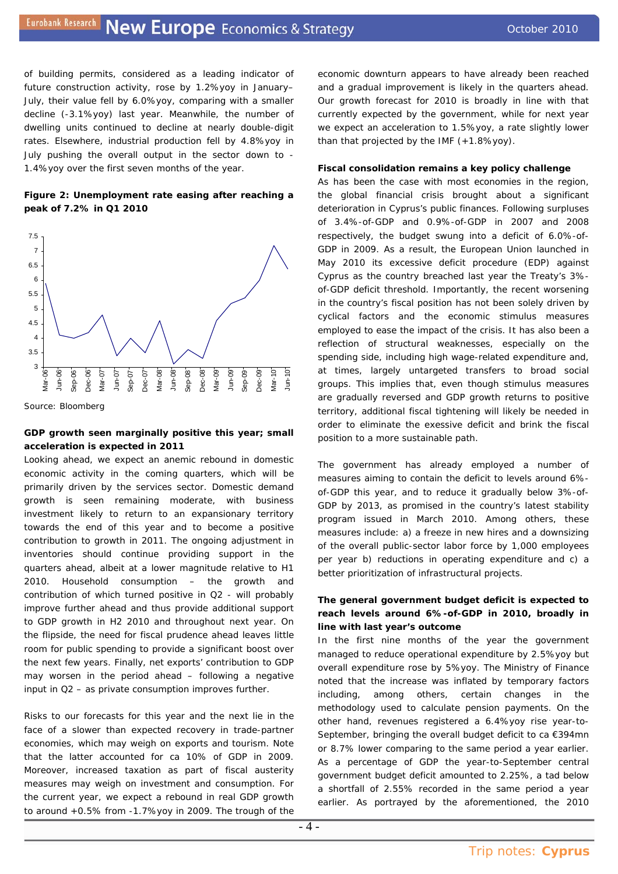of building permits, considered as a leading indicator of future construction activity, rose by 1.2%yoy in January– July, their value fell by 6.0%yoy, comparing with a smaller decline (-3.1%yoy) last year. Meanwhile, the number of dwelling units continued to decline at nearly double-digit rates. Elsewhere, industrial production fell by 4.8%yoy in July pushing the overall output in the sector down to - 1.4%yoy over the first seven months of the year.

#### **Figure 2: Unemployment rate easing after reaching a peak of 7.2% in Q1 2010**



*Source: Bloomberg* 

#### **GDP growth seen marginally positive this year; small acceleration is expected in 2011**

Looking ahead, we expect an anemic rebound in domestic economic activity in the coming quarters, which will be primarily driven by the services sector. Domestic demand growth is seen remaining moderate, with business investment likely to return to an expansionary territory towards the end of this year and to become a positive contribution to growth in 2011. The ongoing adjustment in inventories should continue providing support in the quarters ahead, albeit at a lower magnitude relative to H1 2010. Household consumption – the growth and contribution of which turned positive in Q2 - will probably improve further ahead and thus provide additional support to GDP growth in H2 2010 and throughout next year. On the flipside, the need for fiscal prudence ahead leaves little room for public spending to provide a significant boost over the next few years. Finally, net exports' contribution to GDP may worsen in the period ahead – following a negative input in Q2 – as private consumption improves further.

Risks to our forecasts for this year and the next lie in the face of a slower than expected recovery in trade-partner economies, which may weigh on exports and tourism. Note that the latter accounted for ca 10% of GDP in 2009. Moreover, increased taxation as part of fiscal austerity measures may weigh on investment and consumption. For the current year, we expect a rebound in real GDP growth to around +0.5% from -1.7%yoy in 2009. The trough of the economic downturn appears to have already been reached and a gradual improvement is likely in the quarters ahead. Our growth forecast for 2010 is broadly in line with that currently expected by the government, while for next year we expect an acceleration to 1.5%yoy, a rate slightly lower than that projected by the IMF (+1.8%yoy).

#### **Fiscal consolidation remains a key policy challenge**

As has been the case with most economies in the region, the global financial crisis brought about a significant deterioration in Cyprus's public finances. Following surpluses of 3.4%-of-GDP and 0.9%-of-GDP in 2007 and 2008 respectively, the budget swung into a deficit of 6.0%-of-GDP in 2009. As a result, the European Union launched in May 2010 its excessive deficit procedure (EDP) against Cyprus as the country breached last year the Treaty's 3% of-GDP deficit threshold. Importantly, the recent worsening in the country's fiscal position has not been solely driven by cyclical factors and the economic stimulus measures employed to ease the impact of the crisis. It has also been a reflection of structural weaknesses, especially on the spending side, including high wage-related expenditure and, at times, largely untargeted transfers to broad social groups. This implies that, even though stimulus measures are gradually reversed and GDP growth returns to positive territory, additional fiscal tightening will likely be needed in order to eliminate the exessive deficit and brink the fiscal position to a more sustainable path.

The government has already employed a number of measures aiming to contain the deficit to levels around 6% of-GDP this year, and to reduce it gradually below 3%-of-GDP by 2013, as promised in the country's latest stability program issued in March 2010. Among others, these measures include: a) a freeze in new hires and a downsizing of the overall public-sector labor force by 1,000 employees per year b) reductions in operating expenditure and c) a better prioritization of infrastructural projects.

# **The general government budget deficit is expected to reach levels around 6%-of-GDP in 2010, broadly in line with last year's outcome**

In the first nine months of the year the government managed to reduce operational expenditure by 2.5%yoy but overall expenditure rose by 5%yoy. The Ministry of Finance noted that the increase was inflated by temporary factors including, among others, certain changes in the methodology used to calculate pension payments. On the other hand, revenues registered a 6.4%yoy rise year-to-September, bringing the overall budget deficit to ca €394mn or 8.7% lower comparing to the same period a year earlier. As a percentage of GDP the year-to-September central government budget deficit amounted to 2.25%, a tad below a shortfall of 2.55% recorded in the same period a year earlier. As portrayed by the aforementioned, the 2010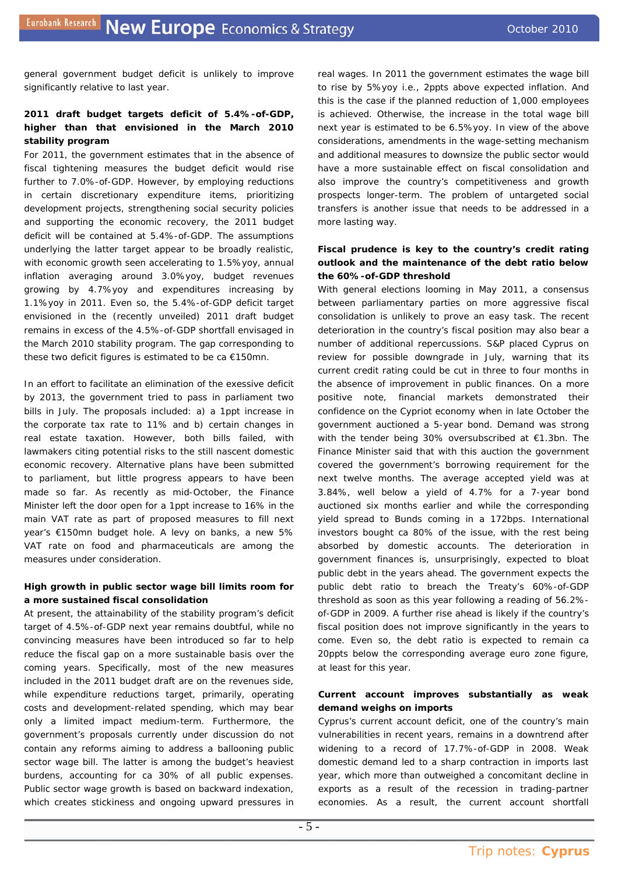general government budget deficit is unlikely to improve significantly relative to last year.

# **2011 draft budget targets deficit of 5.4%-of-GDP, higher than that envisioned in the March 2010 stability program**

For 2011, the government estimates that in the absence of fiscal tightening measures the budget deficit would rise further to 7.0%-of-GDP. However, by employing reductions in certain discretionary expenditure items, prioritizing development projects, strengthening social security policies and supporting the economic recovery, the 2011 budget deficit will be contained at 5.4%-of-GDP. The assumptions underlying the latter target appear to be broadly realistic, with economic growth seen accelerating to 1.5%yoy, annual inflation averaging around 3.0%yoy, budget revenues growing by 4.7%yoy and expenditures increasing by 1.1%yoy in 2011. Even so, the 5.4%-of-GDP deficit target envisioned in the (recently unveiled) 2011 draft budget remains in excess of the 4.5%-of-GDP shortfall envisaged in the March 2010 stability program. The gap corresponding to these two deficit figures is estimated to be ca €150mn.

In an effort to facilitate an elimination of the exessive deficit by 2013, the government tried to pass in parliament two bills in July. The proposals included: a) a 1ppt increase in the corporate tax rate to 11% and b) certain changes in real estate taxation. However, both bills failed, with lawmakers citing potential risks to the still nascent domestic economic recovery. Alternative plans have been submitted to parliament, but little progress appears to have been made so far. As recently as mid-October, the Finance Minister left the door open for a 1ppt increase to 16% in the main VAT rate as part of proposed measures to fill next year's €150mn budget hole. A levy on banks, a new 5% VAT rate on food and pharmaceuticals are among the measures under consideration.

#### **High growth in public sector wage bill limits room for a more sustained fiscal consolidation**

At present, the attainability of the stability program's deficit target of 4.5%-of-GDP next year remains doubtful, while no convincing measures have been introduced so far to help reduce the fiscal gap on a more sustainable basis over the coming years. Specifically, most of the new measures included in the 2011 budget draft are on the revenues side, while expenditure reductions target, primarily, operating costs and development-related spending, which may bear only a limited impact medium-term. Furthermore, the government's proposals currently under discussion do not contain any reforms aiming to address a ballooning public sector wage bill. The latter is among the budget's heaviest burdens, accounting for ca 30% of all public expenses. Public sector wage growth is based on backward indexation, which creates stickiness and ongoing upward pressures in real wages. In 2011 the government estimates the wage bill to rise by 5%yoy i.e., 2ppts above expected inflation. And this is the case if the planned reduction of 1,000 employees is achieved. Otherwise, the increase in the total wage bill next year is estimated to be 6.5%yoy. In view of the above considerations, amendments in the wage-setting mechanism and additional measures to downsize the public sector would have a more sustainable effect on fiscal consolidation and also improve the country's competitiveness and growth prospects longer-term. The problem of untargeted social transfers is another issue that needs to be addressed in a more lasting way.

# **Fiscal prudence is key to the country's credit rating outlook and the maintenance of the debt ratio below the 60%-of-GDP threshold**

With general elections looming in May 2011, a consensus between parliamentary parties on more aggressive fiscal consolidation is unlikely to prove an easy task. The recent deterioration in the country's fiscal position may also bear a number of additional repercussions. S&P placed Cyprus on review for possible downgrade in July, warning that its current credit rating could be cut in three to four months in the absence of improvement in public finances. On a more positive note, financial markets demonstrated their confidence on the Cypriot economy when in late October the government auctioned a 5-year bond. Demand was strong with the tender being 30% oversubscribed at €1.3bn. The Finance Minister said that with this auction the government covered the government's borrowing requirement for the next twelve months. The average accepted yield was at 3.84%, well below a yield of 4.7% for a 7-year bond auctioned six months earlier and while the corresponding yield spread to Bunds coming in a 172bps. International investors bought ca 80% of the issue, with the rest being absorbed by domestic accounts. The deterioration in government finances is, unsurprisingly, expected to bloat public debt in the years ahead. The government expects the public debt ratio to breach the Treaty's 60%-of-GDP threshold as soon as this year following a reading of 56.2% of-GDP in 2009. A further rise ahead is likely if the country's fiscal position does not improve significantly in the years to come. Even so, the debt ratio is expected to remain ca 20ppts below the corresponding average euro zone figure, at least for this year.

#### **Current account improves substantially as weak demand weighs on imports**

Cyprus's current account deficit, one of the country's main vulnerabilities in recent years, remains in a downtrend after widening to a record of 17.7%-of-GDP in 2008. Weak domestic demand led to a sharp contraction in imports last year, which more than outweighed a concomitant decline in exports as a result of the recession in trading-partner economies. As a result, the current account shortfall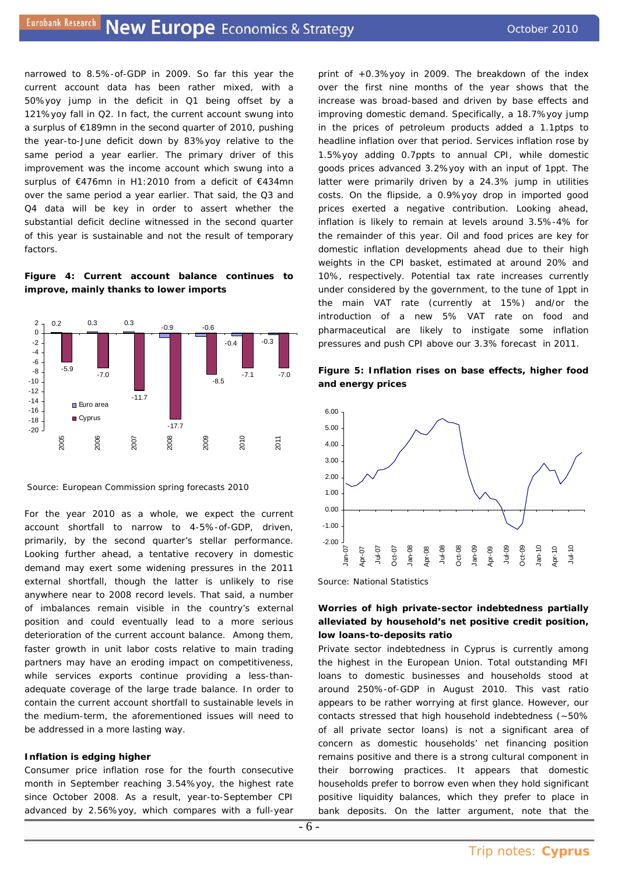narrowed to 8.5%-of-GDP in 2009. So far this year the current account data has been rather mixed, with a 50%yoy jump in the deficit in Q1 being offset by a 121%yoy fall in Q2. In fact, the current account swung into a surplus of €189mn in the second quarter of 2010, pushing the year-to-June deficit down by 83%yoy relative to the same period a year earlier. The primary driver of this improvement was the income account which swung into a surplus of €476mn in H1:2010 from a deficit of €434mn over the same period a year earlier. That said, the Q3 and Q4 data will be key in order to assert whether the substantial deficit decline witnessed in the second quarter of this year is sustainable and not the result of temporary factors

#### **Figure 4: Current account balance continues to improve, mainly thanks to lower imports**



 *Source: European Commission spring forecasts 2010* 

For the year 2010 as a whole, we expect the current account shortfall to narrow to 4-5%-of-GDP, driven, primarily, by the second quarter's stellar performance. Looking further ahead, a tentative recovery in domestic demand may exert some widening pressures in the 2011 external shortfall, though the latter is unlikely to rise anywhere near to 2008 record levels. That said, a number of imbalances remain visible in the country's external position and could eventually lead to a more serious deterioration of the current account balance. Among them, faster growth in unit labor costs relative to main trading partners may have an eroding impact on competitiveness, while services exports continue providing a less-thanadequate coverage of the large trade balance. In order to contain the current account shortfall to sustainable levels in the medium-term, the aforementioned issues will need to be addressed in a more lasting way.

#### **Inflation is edging higher**

Consumer price inflation rose for the fourth consecutive month in September reaching 3.54%yoy, the highest rate since October 2008. As a result, year-to-September CPI advanced by 2.56%yoy, which compares with a full-year

print of +0.3%yoy in 2009. The breakdown of the index over the first nine months of the year shows that the increase was broad-based and driven by base effects and improving domestic demand. Specifically, a 18.7%yoy jump in the prices of petroleum products added a 1.1ptps to headline inflation over that period. Services inflation rose by 1.5%yoy adding 0.7ppts to annual CPI, while domestic goods prices advanced 3.2%yoy with an input of 1ppt. The latter were primarily driven by a 24.3% jump in utilities costs. On the flipside, a 0.9%yoy drop in imported good prices exerted a negative contribution. Looking ahead, inflation is likely to remain at levels around 3.5%-4% for the remainder of this year. Oil and food prices are key for domestic inflation developments ahead due to their high weights in the CPI basket, estimated at around 20% and 10%, respectively. Potential tax rate increases currently under considered by the government, to the tune of 1ppt in the main VAT rate (currently at 15%) and/or the introduction of a new 5% VAT rate on food and pharmaceutical are likely to instigate some inflation pressures and push CPI above our 3.3% forecast in 2011.

# **Figure 5: Inflation rises on base effects, higher food and energy prices**



*Source: National Statistics* 

# **Worries of high private-sector indebtedness partially alleviated by household's net positive credit position, low loans-to-deposits ratio**

Private sector indebtedness in Cyprus is currently among the highest in the European Union. Total outstanding MFI loans to domestic businesses and households stood at around 250%-of-GDP in August 2010. This vast ratio appears to be rather worrying at first glance. However, our contacts stressed that high household indebtedness *(~50% of all private sector loans)* is not a significant area of concern as domestic households' *net* financing position remains positive and there is a strong cultural component in their borrowing practices. It appears that domestic households prefer to borrow even when they hold significant positive liquidity balances, which they prefer to place in bank deposits. On the latter argument, note that the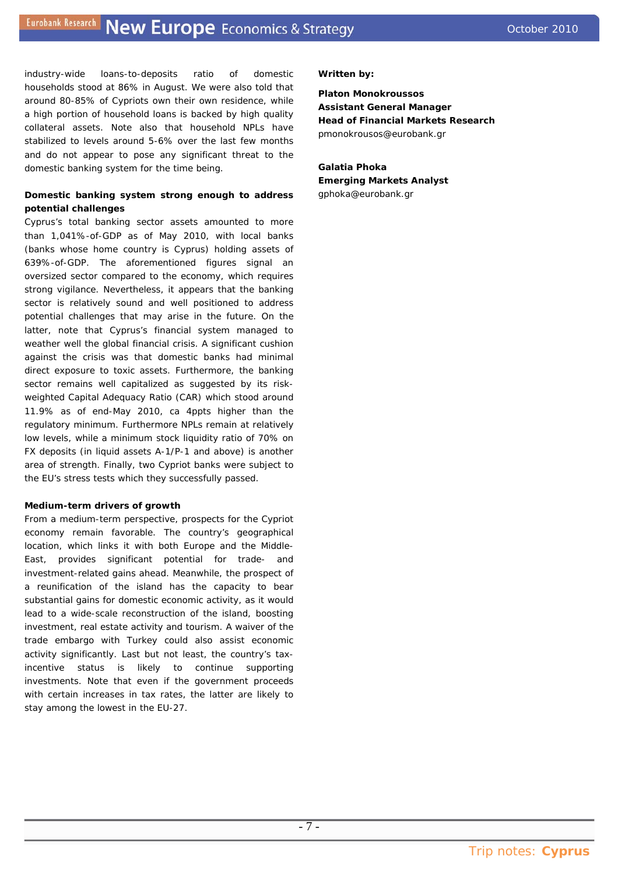industry-wide loans-to-deposits ratio of domestic households stood at 86% in August. We were also told that around 80-85% of Cypriots own their own residence, while a high portion of household loans is backed by high quality collateral assets. Note also that household NPLs have stabilized to levels around 5-6% over the last few months and do not appear to pose any significant threat to the domestic banking system for the time being.

# **Domestic banking system strong enough to address potential challenges**

Cyprus's total banking sector assets amounted to more than 1,041%-of-GDP as of May 2010, with local banks (banks whose home country is Cyprus) holding assets of 639%-of-GDP. The aforementioned figures signal an oversized sector compared to the economy, which requires strong vigilance. Nevertheless, it appears that the banking sector is relatively sound and well positioned to address potential challenges that may arise in the future. On the latter, note that Cyprus's financial system managed to weather well the global financial crisis. A significant cushion against the crisis was that domestic banks had minimal direct exposure to toxic assets. Furthermore, the banking sector remains well capitalized as suggested by its riskweighted Capital Adequacy Ratio (CAR) which stood around 11.9% as of end-May 2010, ca 4ppts higher than the regulatory minimum. Furthermore NPLs remain at relatively low levels, while a minimum stock liquidity ratio of 70% on FX deposits (in liquid assets A-1/P-1 and above) is another area of strength. Finally, two Cypriot banks were subject to the EU's stress tests which they successfully passed.

#### **Medium-term drivers of growth**

From a medium-term perspective, prospects for the Cypriot economy remain favorable. The country's geographical location, which links it with both Europe and the Middle-East, provides significant potential for trade- and investment-related gains ahead. Meanwhile, the prospect of a reunification of the island has the capacity to bear substantial gains for domestic economic activity, as it would lead to a wide-scale reconstruction of the island, boosting investment, real estate activity and tourism. A waiver of the trade embargo with Turkey could also assist economic activity significantly. Last but not least, the country's taxincentive status is likely to continue supporting investments. Note that even if the government proceeds with certain increases in tax rates, the latter are likely to stay among the lowest in the EU-27.

#### *Written by:*

**Platon Monokroussos Assistant General Manager Head of Financial Markets Research**  pmonokrousos@eurobank.gr

**Galatia Phoka Emerging Markets Analyst**  gphoka@eurobank.gr